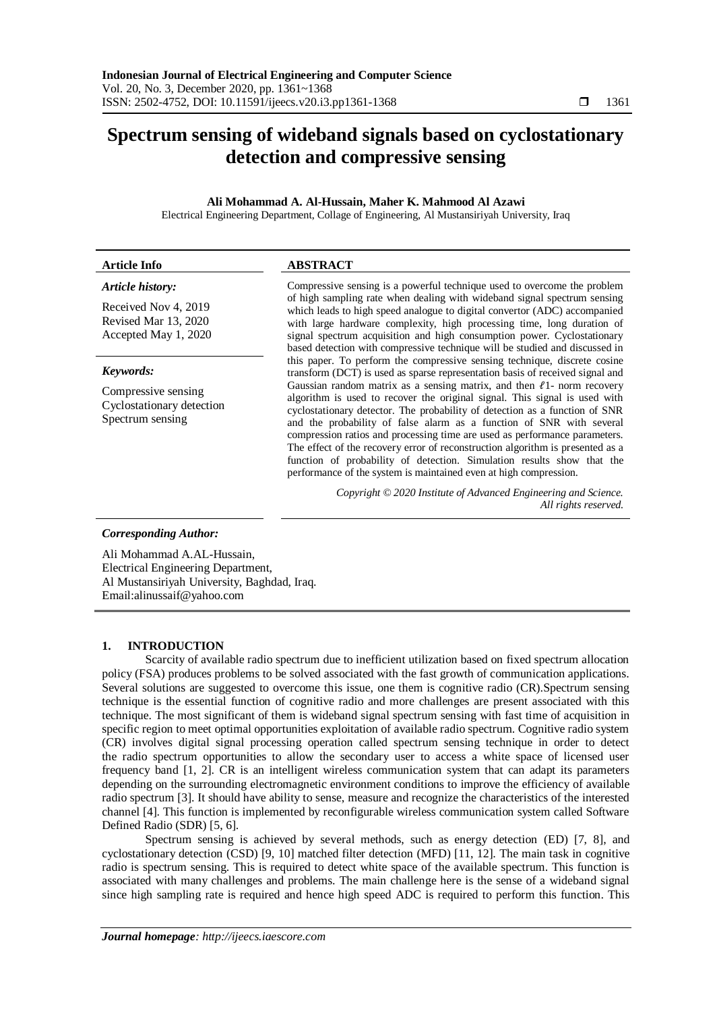# **Spectrum sensing of wideband signals based on cyclostationary detection and compressive sensing**

# **Ali Mohammad A. Al-Hussain, Maher K. Mahmood Al Azawi**

Electrical Engineering Department, Collage of Engineering, Al Mustansiriyah University, Iraq

| <b>Article Info</b>                                                  | <b>ABSTRACT</b>                                                                                                                                                                                                                                                                                                                                                                                                                                                                                                                                                                                                                |  |  |
|----------------------------------------------------------------------|--------------------------------------------------------------------------------------------------------------------------------------------------------------------------------------------------------------------------------------------------------------------------------------------------------------------------------------------------------------------------------------------------------------------------------------------------------------------------------------------------------------------------------------------------------------------------------------------------------------------------------|--|--|
| Article history:                                                     | Compressive sensing is a powerful technique used to overcome the problem                                                                                                                                                                                                                                                                                                                                                                                                                                                                                                                                                       |  |  |
| Received Nov 4, 2019<br>Revised Mar 13, 2020<br>Accepted May 1, 2020 | of high sampling rate when dealing with wideband signal spectrum sensing<br>which leads to high speed analogue to digital convertor (ADC) accompanied<br>with large hardware complexity, high processing time, long duration of<br>signal spectrum acquisition and high consumption power. Cyclostationary<br>based detection with compressive technique will be studied and discussed in<br>this paper. To perform the compressive sensing technique, discrete cosine<br>transform (DCT) is used as sparse representation basis of received signal and                                                                        |  |  |
| Keywords:                                                            |                                                                                                                                                                                                                                                                                                                                                                                                                                                                                                                                                                                                                                |  |  |
| Compressive sensing<br>Cyclostationary detection<br>Spectrum sensing | Gaussian random matrix as a sensing matrix, and then $l_1$ - norm recovery<br>algorithm is used to recover the original signal. This signal is used with<br>cyclostationary detector. The probability of detection as a function of SNR<br>and the probability of false alarm as a function of SNR with several<br>compression ratios and processing time are used as performance parameters.<br>The effect of the recovery error of reconstruction algorithm is presented as a<br>function of probability of detection. Simulation results show that the<br>performance of the system is maintained even at high compression. |  |  |
|                                                                      | Copyright © 2020 Institute of Advanced Engineering and Science.<br>All rights reserved.                                                                                                                                                                                                                                                                                                                                                                                                                                                                                                                                        |  |  |
| <b>Corresponding Author:</b>                                         |                                                                                                                                                                                                                                                                                                                                                                                                                                                                                                                                                                                                                                |  |  |

Ali Mohammad A.AL-Hussain, Electrical Engineering Department, Al Mustansiriyah University, Baghdad, Iraq. Email:alinussaif@yahoo.com

# **1. INTRODUCTION**

Scarcity of available radio spectrum due to inefficient utilization based on fixed spectrum allocation policy (FSA) produces problems to be solved associated with the fast growth of communication applications. Several solutions are suggested to overcome this issue, one them is cognitive radio (CR).Spectrum sensing technique is the essential function of cognitive radio and more challenges are present associated with this technique. The most significant of them is wideband signal spectrum sensing with fast time of acquisition in specific region to meet optimal opportunities exploitation of available radio spectrum. Cognitive radio system (CR) involves digital signal processing operation called spectrum sensing technique in order to detect the radio spectrum opportunities to allow the secondary user to access a white space of licensed user frequency band [1, 2]. CR is an intelligent wireless communication system that can adapt its parameters depending on the surrounding electromagnetic environment conditions to improve the efficiency of available radio spectrum [3]. It should have ability to sense, measure and recognize the characteristics of the interested channel [4]. This function is implemented by reconfigurable wireless communication system called Software Defined Radio (SDR) [5, 6].

Spectrum sensing is achieved by several methods, such as energy detection (ED) [7, 8], and cyclostationary detection (CSD) [9, 10] matched filter detection (MFD) [11, 12]. The main task in cognitive radio is spectrum sensing. This is required to detect white space of the available spectrum. This function is associated with many challenges and problems. The main challenge here is the sense of a wideband signal since high sampling rate is required and hence high speed ADC is required to perform this function. This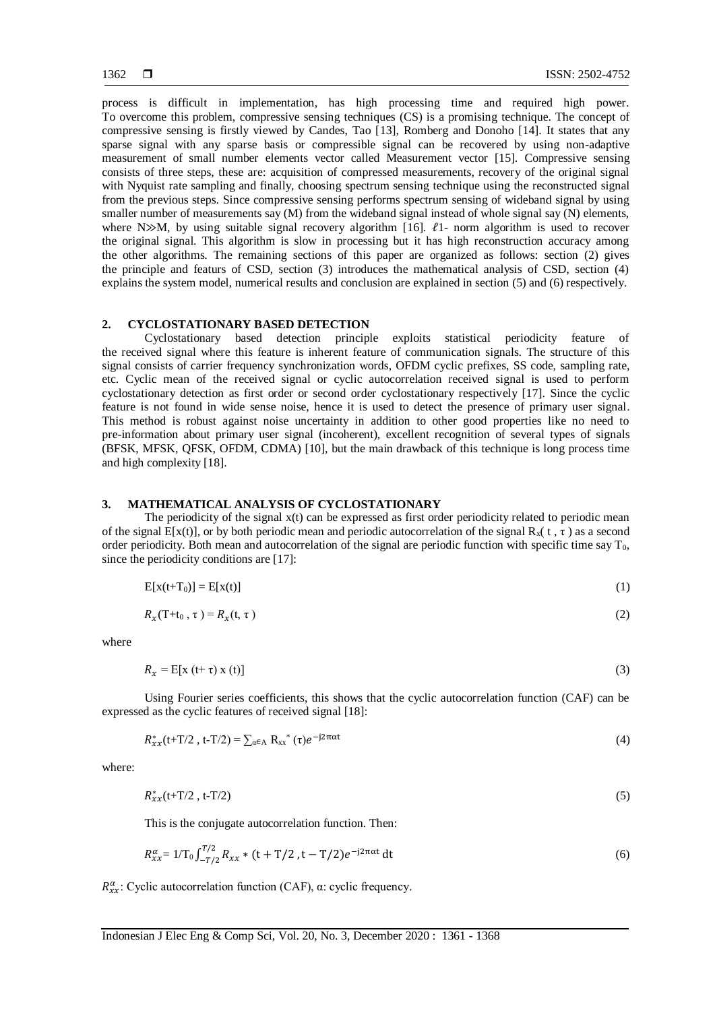process is difficult in implementation, has high processing time and required high power. To overcome this problem, compressive sensing techniques (CS) is a promising technique. The concept of compressive sensing is firstly viewed by Candes, Tao [13], Romberg and Donoho [14]. It states that any sparse signal with any sparse basis or compressible signal can be recovered by using non-adaptive measurement of small number elements vector called Measurement vector [15]. Compressive sensing consists of three steps, these are: acquisition of compressed measurements, recovery of the original signal with Nyquist rate sampling and finally, choosing spectrum sensing technique using the reconstructed signal from the previous steps. Since compressive sensing performs spectrum sensing of wideband signal by using smaller number of measurements say (M) from the wideband signal instead of whole signal say (N) elements, where N $\gg$ M, by using suitable signal recovery algorithm [16].  $\ell$ 1- norm algorithm is used to recover the original signal. This algorithm is slow in processing but it has high reconstruction accuracy among the other algorithms. The remaining sections of this paper are organized as follows: section (2) gives the principle and featurs of CSD, section (3) introduces the mathematical analysis of CSD, section (4) explains the system model, numerical results and conclusion are explained in section (5) and (6) respectively.

# **2. CYCLOSTATIONARY BASED DETECTION**

Cyclostationary based detection principle exploits statistical periodicity feature of the received signal where this feature is inherent feature of communication signals. The structure of this signal consists of carrier frequency synchronization words, OFDM cyclic prefixes, SS code, sampling rate, etc. Cyclic mean of the received signal or cyclic autocorrelation received signal is used to perform cyclostationary detection as first order or second order cyclostationary respectively [17]. Since the cyclic feature is not found in wide sense noise, hence it is used to detect the presence of primary user signal. This method is robust against noise uncertainty in addition to other good properties like no need to pre-information about primary user signal (incoherent), excellent recognition of several types of signals (BFSK, MFSK, QFSK, OFDM, CDMA) [10], but the main drawback of this technique is long process time and high complexity [18].

# **3. MATHEMATICAL ANALYSIS OF CYCLOSTATIONARY**

The periodicity of the signal  $x(t)$  can be expressed as first order periodicity related to periodic mean of the signal E[x(t)], or by both periodic mean and periodic autocorrelation of the signal  $R_x(t, \tau)$  as a second order periodicity. Both mean and autocorrelation of the signal are periodic function with specific time say  $T_0$ , since the periodicity conditions are [17]:

$$
E[x(t+T_0)] = E[x(t)] \tag{1}
$$

$$
R_{\mathbf{x}}(\mathbf{T}+\mathbf{t}_0,\tau) = R_{\mathbf{x}}(\mathbf{t},\tau) \tag{2}
$$

where

$$
R_x = E[x(t+\tau)x(t)] \tag{3}
$$

Using Fourier series coefficients, this shows that the cyclic autocorrelation function (CAF) can be expressed as the cyclic features of received signal [18]:

$$
R_{xx}^*(t+T/2, t-T/2) = \sum_{\alpha \in A} R_{xx}^*(\tau) e^{-j2\pi \alpha t}
$$
 (4)

where:

$$
R_{xx}^*(t+T/2, t-T/2) \tag{5}
$$

This is the conjugate autocorrelation function. Then:

$$
R_{xx}^{\alpha} = 1/T_0 \int_{-T/2}^{T/2} R_{xx} * (t + T/2, t - T/2) e^{-j2\pi\alpha t} dt
$$
 (6)

 $R_{xx}^{\alpha}$ : Cyclic autocorrelation function (CAF),  $\alpha$ : cyclic frequency.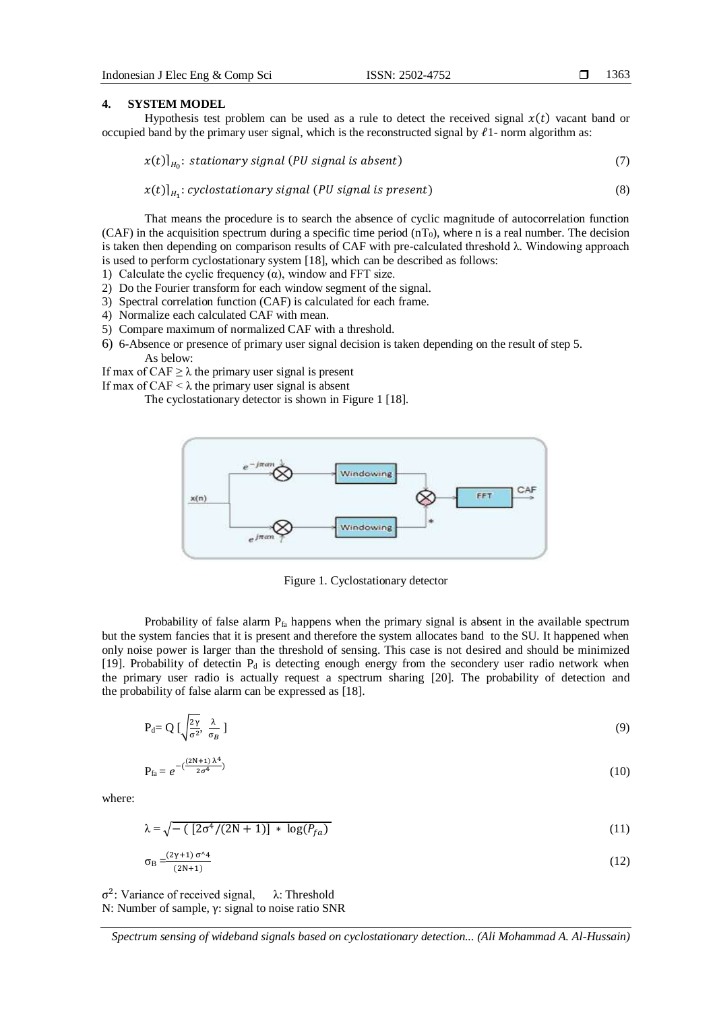#### 1363

#### **4. SYSTEM MODEL**

Hypothesis test problem can be used as a rule to detect the received signal  $x(t)$  vacant band or occupied band by the primary user signal, which is the reconstructed signal by  $l_1$ - norm algorithm as:

$$
x(t)|_{H_0}: stationary\, signal\, (PU\, signal\, is\, absent)
$$
\n
$$
\tag{7}
$$

$$
x(t)|_{H_1}: cyclostationary signal (PU signal is present)
$$
\n(8)

That means the procedure is to search the absence of cyclic magnitude of autocorrelation function (CAF) in the acquisition spectrum during a specific time period  $(nT_0)$ , where n is a real number. The decision is taken then depending on comparison results of CAF with pre-calculated threshold  $\lambda$ . Windowing approach is used to perform cyclostationary system [18], which can be described as follows:

- 1) Calculate the cyclic frequency  $(\alpha)$ , window and FFT size.
- 2) Do the Fourier transform for each window segment of the signal.
- 3) Spectral correlation function (CAF) is calculated for each frame.
- 4) Normalize each calculated CAF with mean.
- 5) Compare maximum of normalized CAF with a threshold.
- 6) 6-Absence or presence of primary user signal decision is taken depending on the result of step 5. As below:

If max of CAF  $\geq \lambda$  the primary user signal is present

If max of CAF  $\leq \lambda$  the primary user signal is absent

The cyclostationary detector is shown in Figure 1 [18].



Figure 1. Cyclostationary detector

Probability of false alarm P<sub>fa</sub> happens when the primary signal is absent in the available spectrum but the system fancies that it is present and therefore the system allocates band to the SU. It happened when only noise power is larger than the threshold of sensing. This case is not desired and should be minimized [19]. Probability of detectin  $P_d$  is detecting enough energy from the secondery user radio network when the primary user radio is actually request a spectrum sharing [20]. The probability of detection and the probability of false alarm can be expressed as [18].

$$
P_d = Q \left[ \sqrt{\frac{2\gamma}{\sigma^2}}, \frac{\lambda}{\sigma_B} \right] \tag{9}
$$

$$
P_{fa} = e^{-\left(\frac{(2N+1)\lambda^4}{2\sigma^4}\right)}\tag{10}
$$

where:

$$
\lambda = \sqrt{-\left(\left[2\sigma^4/(2N+1)\right] \ast \log(P_{fa})\right)}
$$
\n(11)

$$
\sigma_{\rm B} = \frac{(2\gamma + 1)\,\sigma^{\wedge}4}{(2N+1)}\tag{12}
$$

σ 2 : Variance of received signal, λ: Threshold N: Number of sample, γ: signal to noise ratio SNR

*Spectrum sensing of wideband signals based on cyclostationary detection... (Ali Mohammad A. Al-Hussain)*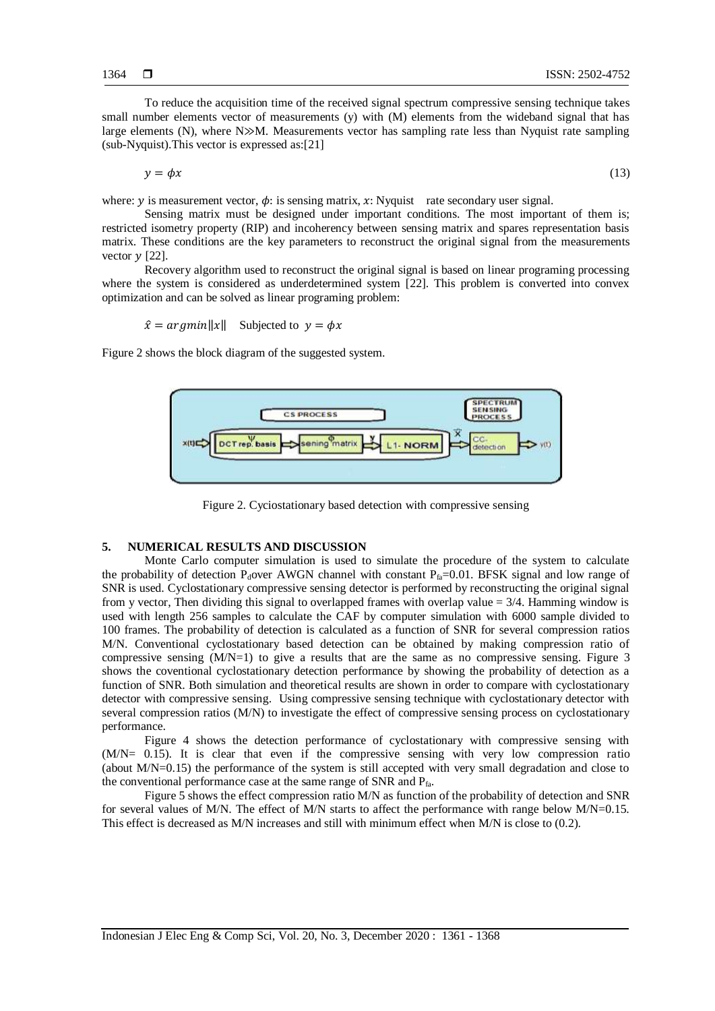To reduce the acquisition time of the received signal spectrum compressive sensing technique takes small number elements vector of measurements (y) with (M) elements from the wideband signal that has large elements (N), where  $N\gg M$ . Measurements vector has sampling rate less than Nyquist rate sampling (sub-Nyquist).This vector is expressed as:[21]

$$
y = \phi x \tag{13}
$$

where:  $y$  is measurement vector,  $\phi$ : is sensing matrix,  $x$ : Nyquist rate secondary user signal.

Sensing matrix must be designed under important conditions. The most important of them is; restricted isometry property (RIP) and incoherency between sensing matrix and spares representation basis matrix. These conditions are the key parameters to reconstruct the original signal from the measurements vector  $\gamma$  [22].

Recovery algorithm used to reconstruct the original signal is based on linear programing processing where the system is considered as underdetermined system [22]. This problem is converted into convex optimization and can be solved as linear programing problem:

 $\hat{x} = argmin||x||$  Subjected to  $y = \phi x$ 

Figure 2 shows the block diagram of the suggested system.



Figure 2. Cyciostationary based detection with compressive sensing

# **5. NUMERICAL RESULTS AND DISCUSSION**

Monte Carlo computer simulation is used to simulate the procedure of the system to calculate the probability of detection P<sub>d</sub>over AWGN channel with constant P<sub>fa</sub>=0.01. BFSK signal and low range of SNR is used. Cyclostationary compressive sensing detector is performed by reconstructing the original signal from y vector, Then dividing this signal to overlapped frames with overlap value  $= 3/4$ . Hamming window is used with length 256 samples to calculate the CAF by computer simulation with 6000 sample divided to 100 frames. The probability of detection is calculated as a function of SNR for several compression ratios M/N. Conventional cyclostationary based detection can be obtained by making compression ratio of compressive sensing  $(M/N=1)$  to give a results that are the same as no compressive sensing. Figure 3 shows the coventional cyclostationary detection performance by showing the probability of detection as a function of SNR. Both simulation and theoretical results are shown in order to compare with cyclostationary detector with compressive sensing. Using compressive sensing technique with cyclostationary detector with several compression ratios (M/N) to investigate the effect of compressive sensing process on cyclostationary performance.

Figure 4 shows the detection performance of cyclostationary with compressive sensing with (M/N= 0.15). It is clear that even if the compressive sensing with very low compression ratio (about M/N=0.15) the performance of the system is still accepted with very small degradation and close to the conventional performance case at the same range of SNR and Pfa.

Figure 5 shows the effect compression ratio M/N as function of the probability of detection and SNR for several values of M/N. The effect of M/N starts to affect the performance with range below M/N=0.15. This effect is decreased as M/N increases and still with minimum effect when M/N is close to (0.2).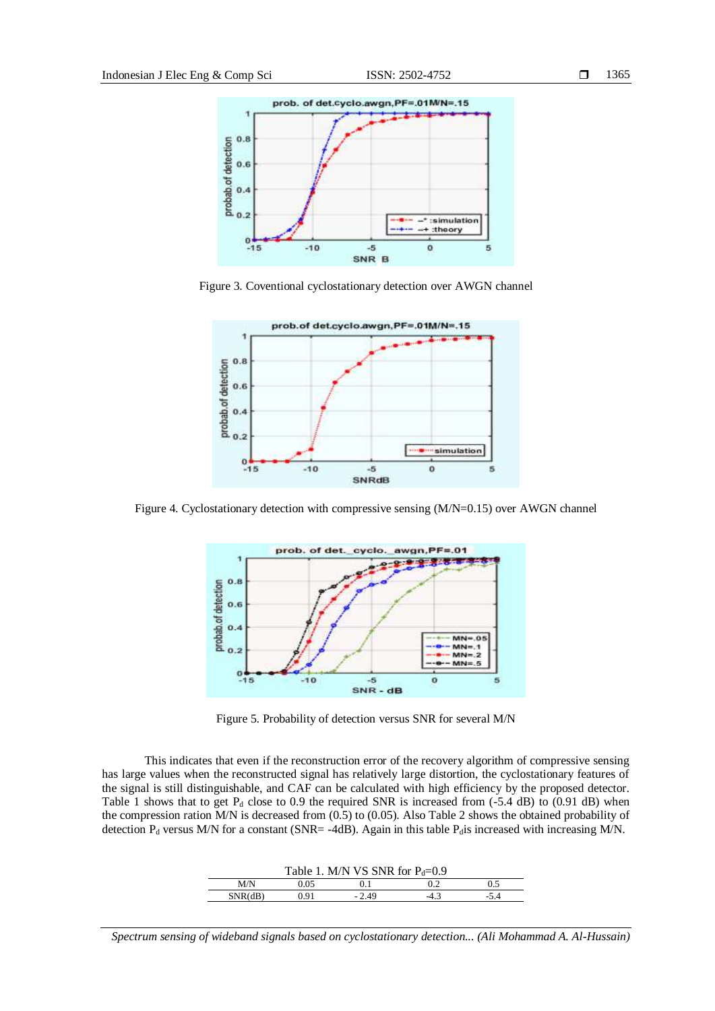

Figure 3. Coventional cyclostationary detection over AWGN channel



Figure 4. Cyclostationary detection with compressive sensing (M/N=0.15) over AWGN channel



Figure 5. Probability of detection versus SNR for several M/N

This indicates that even if the reconstruction error of the recovery algorithm of compressive sensing has large values when the reconstructed signal has relatively large distortion, the cyclostationary features of the signal is still distinguishable, and CAF can be calculated with high efficiency by the proposed detector. Table 1 shows that to get  $P_d$  close to 0.9 the required SNR is increased from (-5.4 dB) to (0.91 dB) when the compression ration M/N is decreased from (0.5) to (0.05). Also Table 2 shows the obtained probability of detection  $P_d$  versus M/N for a constant (SNR= -4dB). Again in this table  $P_d$  is increased with increasing M/N.

| Table 1. M/N VS SNR for $P_d = 0.9$ |      |         |  |  |  |  |  |
|-------------------------------------|------|---------|--|--|--|--|--|
| M/N                                 | 9.05 |         |  |  |  |  |  |
| SNR(dB)                             | 0.91 | $-2.49$ |  |  |  |  |  |

*Spectrum sensing of wideband signals based on cyclostationary detection... (Ali Mohammad A. Al-Hussain)*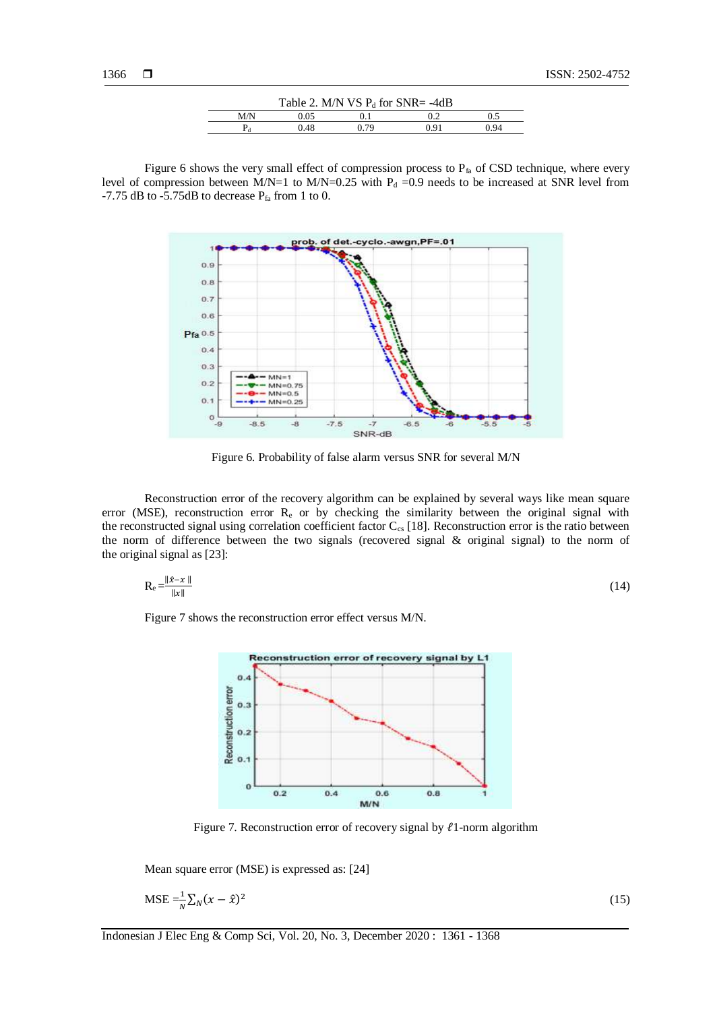| Table 2. M/N VS $P_d$ for SNR= -4dB |      |     |      |      |  |  |  |
|-------------------------------------|------|-----|------|------|--|--|--|
| M/N                                 | ).05 |     |      |      |  |  |  |
|                                     | ).48 | 79، | በ 91 | ን 94 |  |  |  |

Figure 6 shows the very small effect of compression process to  $P_{fa}$  of CSD technique, where every level of compression between M/N=1 to M/N=0.25 with  $P_d$  =0.9 needs to be increased at SNR level from -7.75 dB to -5.75dB to decrease  $P_{fa}$  from 1 to 0.



Figure 6. Probability of false alarm versus SNR for several M/N

Reconstruction error of the recovery algorithm can be explained by several ways like mean square error (MSE), reconstruction error Re or by checking the similarity between the original signal with the reconstructed signal using correlation coefficient factor  $C_{cs}$  [18]. Reconstruction error is the ratio between the norm of difference between the two signals (recovered signal & original signal) to the norm of the original signal as [23]:

$$
R_e = \frac{\|\hat{x} - x\|}{\|x\|} \tag{14}
$$

Figure 7 shows the reconstruction error effect versus M/N.



Figure 7. Reconstruction error of recovery signal by  $\ell$ 1-norm algorithm

Mean square error (MSE) is expressed as: [24]

$$
\text{MSE} = \frac{1}{N} \sum_{N} (x - \hat{x})^2 \tag{15}
$$

Indonesian J Elec Eng & Comp Sci, Vol. 20, No. 3, December 2020 : 1361 - 1368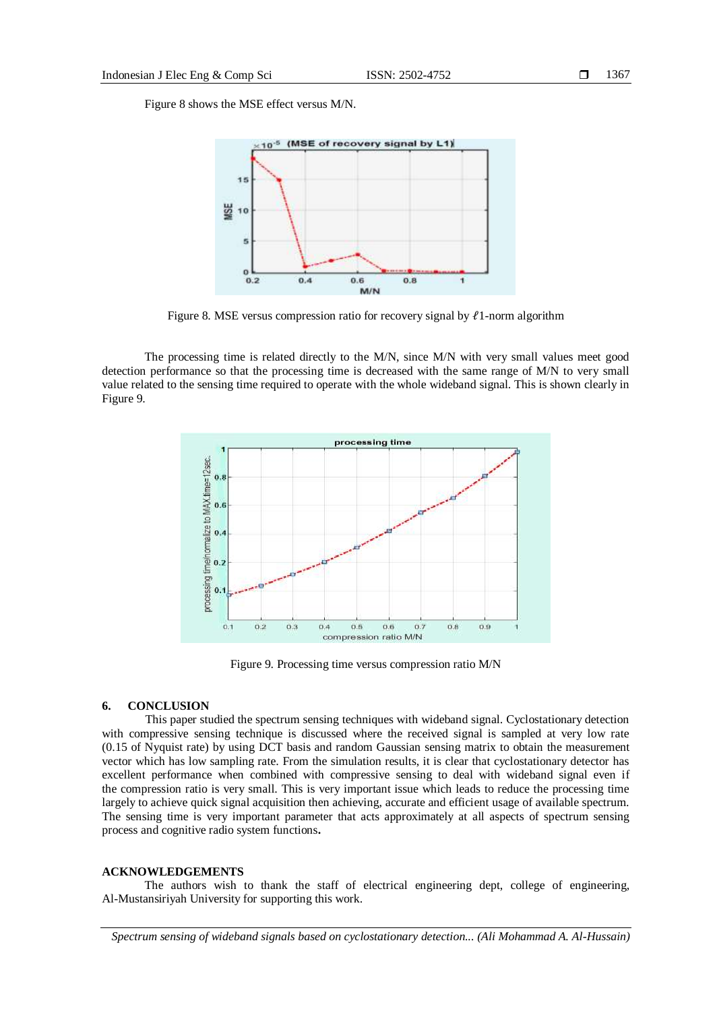Figure 8 shows the MSE effect versus M/N.



Figure 8. MSE versus compression ratio for recovery signal by  $\ell$ 1-norm algorithm

The processing time is related directly to the M/N, since M/N with very small values meet good detection performance so that the processing time is decreased with the same range of M/N to very small value related to the sensing time required to operate with the whole wideband signal. This is shown clearly in Figure 9.



Figure 9. Processing time versus compression ratio M/N

# **6. CONCLUSION**

This paper studied the spectrum sensing techniques with wideband signal. Cyclostationary detection with compressive sensing technique is discussed where the received signal is sampled at very low rate (0.15 of Nyquist rate) by using DCT basis and random Gaussian sensing matrix to obtain the measurement vector which has low sampling rate. From the simulation results, it is clear that cyclostationary detector has excellent performance when combined with compressive sensing to deal with wideband signal even if the compression ratio is very small. This is very important issue which leads to reduce the processing time largely to achieve quick signal acquisition then achieving, accurate and efficient usage of available spectrum. The sensing time is very important parameter that acts approximately at all aspects of spectrum sensing process and cognitive radio system functions**.**

## **ACKNOWLEDGEMENTS**

The authors wish to thank the staff of electrical engineering dept, college of engineering, Al-Mustansiriyah University for supporting this work.

*Spectrum sensing of wideband signals based on cyclostationary detection... (Ali Mohammad A. Al-Hussain)*